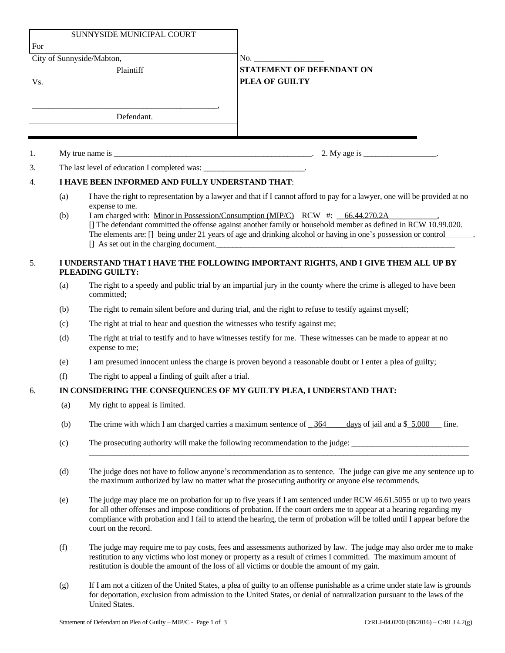| SUNNYSIDE MUNICIPAL COURT<br>For |                                                                                                        |                                                                                                                                                                                                                                                                                                                                                                                                                                                                                                                   |                                                           |  |
|----------------------------------|--------------------------------------------------------------------------------------------------------|-------------------------------------------------------------------------------------------------------------------------------------------------------------------------------------------------------------------------------------------------------------------------------------------------------------------------------------------------------------------------------------------------------------------------------------------------------------------------------------------------------------------|-----------------------------------------------------------|--|
| City of Sunnyside/Mabton,        |                                                                                                        |                                                                                                                                                                                                                                                                                                                                                                                                                                                                                                                   | $\mathbf{No.}$                                            |  |
| Vs.                              | Plaintiff                                                                                              |                                                                                                                                                                                                                                                                                                                                                                                                                                                                                                                   | <b>STATEMENT OF DEFENDANT ON</b><br><b>PLEA OF GUILTY</b> |  |
|                                  |                                                                                                        | Defendant.                                                                                                                                                                                                                                                                                                                                                                                                                                                                                                        |                                                           |  |
|                                  |                                                                                                        |                                                                                                                                                                                                                                                                                                                                                                                                                                                                                                                   |                                                           |  |
| 1.                               |                                                                                                        |                                                                                                                                                                                                                                                                                                                                                                                                                                                                                                                   | 2. My age is $\frac{\ }{\ }$ .                            |  |
| 3.                               |                                                                                                        | The last level of education I completed was: _____________________________.                                                                                                                                                                                                                                                                                                                                                                                                                                       |                                                           |  |
| 4.                               | I HAVE BEEN INFORMED AND FULLY UNDERSTAND THAT:                                                        |                                                                                                                                                                                                                                                                                                                                                                                                                                                                                                                   |                                                           |  |
|                                  | (a)<br>(b)                                                                                             | I have the right to representation by a lawyer and that if I cannot afford to pay for a lawyer, one will be provided at no<br>expense to me.<br>I am charged with: Minor in Possession/Consumption (MIP/C) RCW #: 66.44.270.2A<br>[] The defendant committed the offense against another family or household member as defined in RCW 10.99.020.<br>The elements are: [] being under 21 years of age and drinking alcohol or having in one's possession or control<br>$\int$ As set out in the charging document. |                                                           |  |
| 5.                               | I UNDERSTAND THAT I HAVE THE FOLLOWING IMPORTANT RIGHTS, AND I GIVE THEM ALL UP BY<br>PLEADING GUILTY: |                                                                                                                                                                                                                                                                                                                                                                                                                                                                                                                   |                                                           |  |
|                                  | (a)                                                                                                    | The right to a speedy and public trial by an impartial jury in the county where the crime is alleged to have been<br>committed;                                                                                                                                                                                                                                                                                                                                                                                   |                                                           |  |
|                                  | (b)                                                                                                    | The right to remain silent before and during trial, and the right to refuse to testify against myself;                                                                                                                                                                                                                                                                                                                                                                                                            |                                                           |  |
|                                  | (c)                                                                                                    | The right at trial to hear and question the witnesses who testify against me;                                                                                                                                                                                                                                                                                                                                                                                                                                     |                                                           |  |
|                                  | (d)                                                                                                    | The right at trial to testify and to have witnesses testify for me. These witnesses can be made to appear at no<br>expense to me;                                                                                                                                                                                                                                                                                                                                                                                 |                                                           |  |
|                                  | (e)                                                                                                    | I am presumed innocent unless the charge is proven beyond a reasonable doubt or I enter a plea of guilty;                                                                                                                                                                                                                                                                                                                                                                                                         |                                                           |  |
|                                  | (f)                                                                                                    | The right to appeal a finding of guilt after a trial.                                                                                                                                                                                                                                                                                                                                                                                                                                                             |                                                           |  |
| 6.                               | IN CONSIDERING THE CONSEQUENCES OF MY GUILTY PLEA, I UNDERSTAND THAT:                                  |                                                                                                                                                                                                                                                                                                                                                                                                                                                                                                                   |                                                           |  |
|                                  | (a)                                                                                                    | My right to appeal is limited.                                                                                                                                                                                                                                                                                                                                                                                                                                                                                    |                                                           |  |
|                                  | (b)                                                                                                    | The crime with which I am charged carries a maximum sentence of $\frac{364}{100}$<br>days of jail and a $$5,000$<br>fine.                                                                                                                                                                                                                                                                                                                                                                                         |                                                           |  |
|                                  | (c)                                                                                                    | The prosecuting authority will make the following recommendation to the judge:                                                                                                                                                                                                                                                                                                                                                                                                                                    |                                                           |  |
|                                  | (d)                                                                                                    | The judge does not have to follow anyone's recommendation as to sentence. The judge can give me any sentence up to<br>the maximum authorized by law no matter what the prosecuting authority or anyone else recommends.                                                                                                                                                                                                                                                                                           |                                                           |  |
|                                  | (e)                                                                                                    | The judge may place me on probation for up to five years if I am sentenced under RCW 46.61.5055 or up to two years<br>for all other offenses and impose conditions of probation. If the court orders me to appear at a hearing regarding my<br>compliance with probation and I fail to attend the hearing, the term of probation will be tolled until I appear before the<br>court on the record.                                                                                                                 |                                                           |  |
|                                  | (f)                                                                                                    | The judge may require me to pay costs, fees and assessments authorized by law. The judge may also order me to make<br>restitution to any victims who lost money or property as a result of crimes I committed. The maximum amount of<br>restitution is double the amount of the loss of all victims or double the amount of my gain.                                                                                                                                                                              |                                                           |  |

(g) If I am not a citizen of the United States, a plea of guilty to an offense punishable as a crime under state law is grounds for deportation, exclusion from admission to the United States, or denial of naturalization pursuant to the laws of the United States.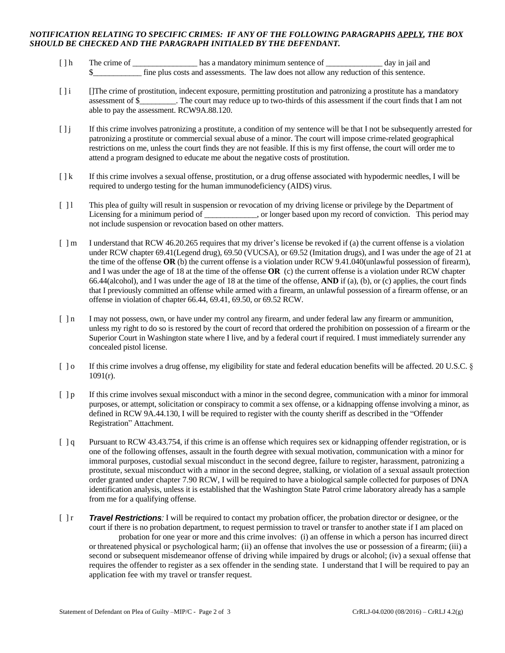## *NOTIFICATION RELATING TO SPECIFIC CRIMES: IF ANY OF THE FOLLOWING PARAGRAPHS APPLY, THE BOX SHOULD BE CHECKED AND THE PARAGRAPH INITIALED BY THE DEFENDANT.*

- [ ] h The crime of \_\_\_\_\_\_\_\_\_\_\_\_\_\_\_\_\_\_\_\_\_ has a mandatory minimum sentence of \_\_\_\_\_\_\_\_\_\_\_\_\_\_\_\_ day in jail and \$\_\_\_\_\_\_\_\_\_\_\_\_ fine plus costs and assessments. The law does not allow any reduction of this sentence.
- [ ] i []The crime of prostitution, indecent exposure, permitting prostitution and patronizing a prostitute has a mandatory assessment of \$\_\_\_\_\_\_\_\_\_. The court may reduce up to two-thirds of this assessment if the court finds that I am not able to pay the assessment. RCW9A.88.120.
- [ ] j If this crime involves patronizing a prostitute, a condition of my sentence will be that I not be subsequently arrested for patronizing a prostitute or commercial sexual abuse of a minor. The court will impose crime-related geographical restrictions on me, unless the court finds they are not feasible. If this is my first offense, the court will order me to attend a program designed to educate me about the negative costs of prostitution.
- [  $\lfloor k \rfloor$  If this crime involves a sexual offense, prostitution, or a drug offense associated with hypodermic needles, I will be required to undergo testing for the human immunodeficiency (AIDS) virus.
- [ ] l This plea of guilty will result in suspension or revocation of my driving license or privilege by the Department of Licensing for a minimum period of \_\_\_\_\_\_\_\_\_\_, or longer based upon my record of conviction. This period may not include suspension or revocation based on other matters.
- [ ] m I understand that RCW 46.20.265 requires that my driver's license be revoked if (a) the current offense is a violation under RCW chapter 69.41(Legend drug), 69.50 (VUCSA), or 69.52 (Imitation drugs), and I was under the age of 21 at the time of the offense **OR** (b) the current offense is a violation under RCW 9.41.040(unlawful possession of firearm), and I was under the age of 18 at the time of the offense **OR** (c) the current offense is a violation under RCW chapter 66.44(alcohol), and I was under the age of 18 at the time of the offense, **AND** if (a), (b), or (c) applies, the court finds that I previously committed an offense while armed with a firearm, an unlawful possession of a firearm offense, or an offense in violation of chapter 66.44, 69.41, 69.50, or 69.52 RCW.
- [ ] n I may not possess, own, or have under my control any firearm, and under federal law any firearm or ammunition, unless my right to do so is restored by the court of record that ordered the prohibition on possession of a firearm or the Superior Court in Washington state where I live, and by a federal court if required. I must immediately surrender any concealed pistol license.
- [ ] o If this crime involves a drug offense, my eligibility for state and federal education benefits will be affected. 20 U.S.C. §  $1091(r)$ .
- [ ] p If this crime involves sexual misconduct with a minor in the second degree, communication with a minor for immoral purposes, or attempt, solicitation or conspiracy to commit a sex offense, or a kidnapping offense involving a minor, as defined in RCW 9A.44.130, I will be required to register with the county sheriff as described in the "Offender Registration" Attachment.
- [ ] q Pursuant to RCW 43.43.754, if this crime is an offense which requires sex or kidnapping offender registration, or is one of the following offenses, assault in the fourth degree with sexual motivation, communication with a minor for immoral purposes, custodial sexual misconduct in the second degree, failure to register, harassment, patronizing a prostitute, sexual misconduct with a minor in the second degree, stalking, or violation of a sexual assault protection order granted under chapter 7.90 RCW, I will be required to have a biological sample collected for purposes of DNA identification analysis, unless it is established that the Washington State Patrol crime laboratory already has a sample from me for a qualifying offense.
- [ ] r *Travel Restrictions:* I will be required to contact my probation officer, the probation director or designee, or the court if there is no probation department, to request permission to travel or transfer to another state if I am placed on probation for one year or more and this crime involves: (i) an offense in which a person has incurred direct or threatened physical or psychological harm; (ii) an offense that involves the use or possession of a firearm; (iii) a second or subsequent misdemeanor offense of driving while impaired by drugs or alcohol; (iv) a sexual offense that requires the offender to register as a sex offender in the sending state. I understand that I will be required to pay an application fee with my travel or transfer request.